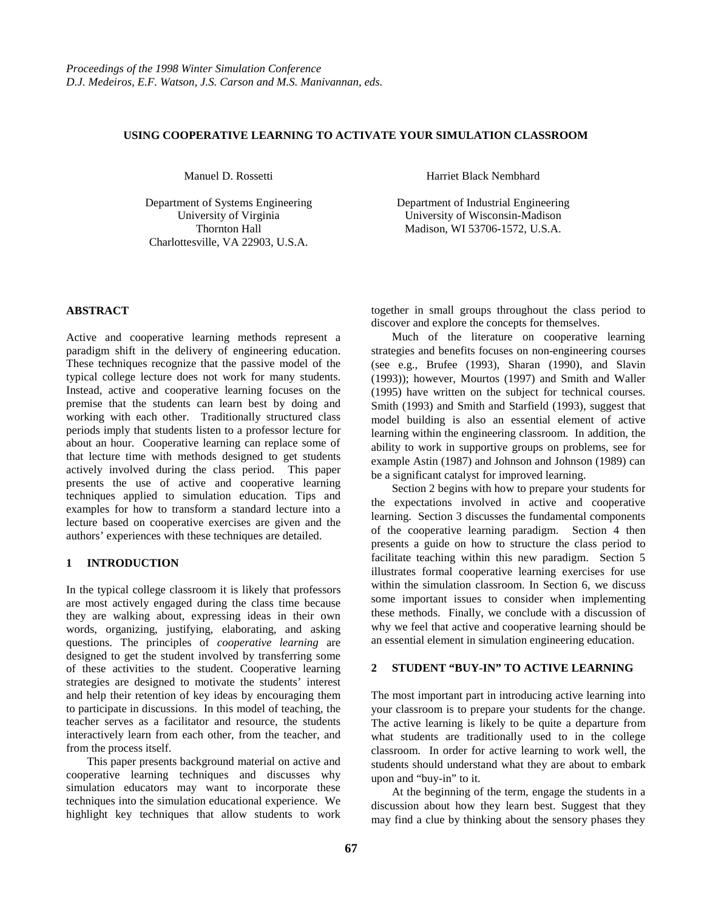#### **USING COOPERATIVE LEARNING TO ACTIVATE YOUR SIMULATION CLASSROOM**

Manuel D. Rossetti

Department of Systems Engineering University of Virginia Thornton Hall Charlottesville, VA 22903, U.S.A.

**ABSTRACT**

Active and cooperative learning methods represent a paradigm shift in the delivery of engineering education. These techniques recognize that the passive model of the typical college lecture does not work for many students. Instead, active and cooperative learning focuses on the premise that the students can learn best by doing and working with each other. Traditionally structured class periods imply that students listen to a professor lecture for about an hour. Cooperative learning can replace some of that lecture time with methods designed to get students actively involved during the class period. This paper presents the use of active and cooperative learning techniques applied to simulation education. Tips and examples for how to transform a standard lecture into a lecture based on cooperative exercises are given and the authors' experiences with these techniques are detailed.

#### **1 INTRODUCTION**

In the typical college classroom it is likely that professors are most actively engaged during the class time because they are walking about, expressing ideas in their own words, organizing, justifying, elaborating, and asking questions. The principles of *cooperative learning* are designed to get the student involved by transferring some of these activities to the student. Cooperative learning strategies are designed to motivate the students' interest and help their retention of key ideas by encouraging them to participate in discussions. In this model of teaching, the teacher serves as a facilitator and resource, the students interactively learn from each other, from the teacher, and from the process itself.

This paper presents background material on active and cooperative learning techniques and discusses why simulation educators may want to incorporate these techniques into the simulation educational experience. We highlight key techniques that allow students to work

Harriet Black Nembhard

Department of Industrial Engineering University of Wisconsin-Madison Madison, WI 53706-1572, U.S.A.

together in small groups throughout the class period to discover and explore the concepts for themselves.

Much of the literature on cooperative learning strategies and benefits focuses on non-engineering courses (see e.g., Brufee (1993), Sharan (1990), and Slavin (1993)); however, Mourtos (1997) and Smith and Waller (1995) have written on the subject for technical courses. Smith (1993) and Smith and Starfield (1993), suggest that model building is also an essential element of active learning within the engineering classroom. In addition, the ability to work in supportive groups on problems, see for example Astin (1987) and Johnson and Johnson (1989) can be a significant catalyst for improved learning.

Section 2 begins with how to prepare your students for the expectations involved in active and cooperative learning. Section 3 discusses the fundamental components of the cooperative learning paradigm. Section 4 then presents a guide on how to structure the class period to facilitate teaching within this new paradigm. Section 5 illustrates formal cooperative learning exercises for use within the simulation classroom. In Section 6, we discuss some important issues to consider when implementing these methods. Finally, we conclude with a discussion of why we feel that active and cooperative learning should be an essential element in simulation engineering education.

#### **2 STUDENT "BUY-IN" TO ACTIVE LEARNING**

The most important part in introducing active learning into your classroom is to prepare your students for the change. The active learning is likely to be quite a departure from what students are traditionally used to in the college classroom. In order for active learning to work well, the students should understand what they are about to embark upon and "buy-in" to it.

At the beginning of the term, engage the students in a discussion about how they learn best. Suggest that they may find a clue by thinking about the sensory phases they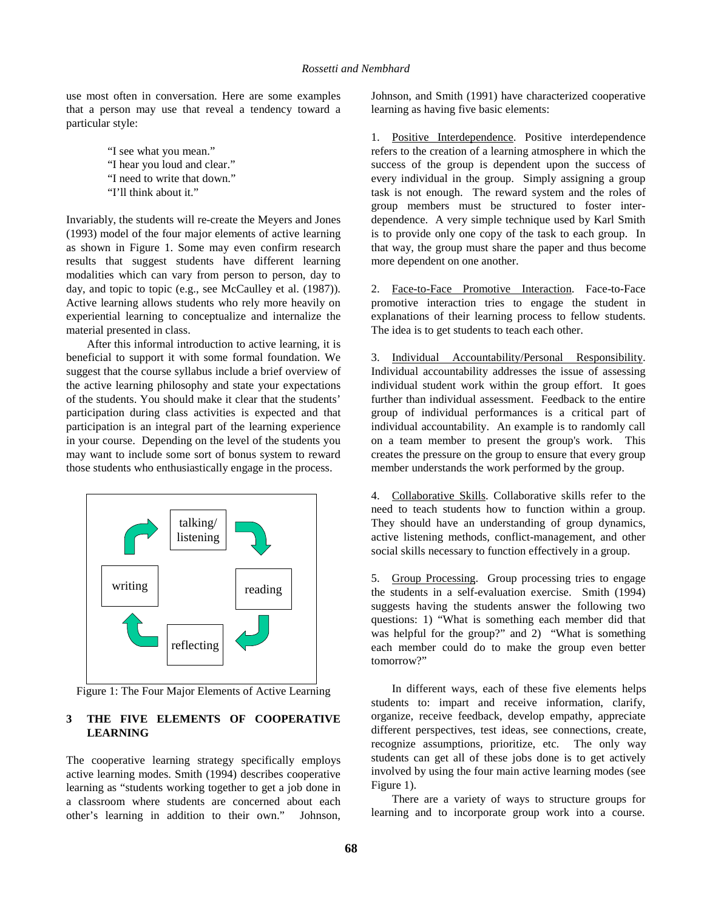use most often in conversation. Here are some examples that a person may use that reveal a tendency toward a particular style:

> "I see what you mean." "I hear you loud and clear." "I need to write that down." "I'll think about it."

Invariably, the students will re-create the Meyers and Jones (1993) model of the four major elements of active learning as shown in Figure 1. Some may even confirm research results that suggest students have different learning modalities which can vary from person to person, day to day, and topic to topic (e.g., see McCaulley et al. (1987)). Active learning allows students who rely more heavily on experiential learning to conceptualize and internalize the material presented in class.

After this informal introduction to active learning, it is beneficial to support it with some formal foundation. We suggest that the course syllabus include a brief overview of the active learning philosophy and state your expectations of the students. You should make it clear that the students' participation during class activities is expected and that participation is an integral part of the learning experience in your course. Depending on the level of the students you may want to include some sort of bonus system to reward those students who enthusiastically engage in the process.



Figure 1: The Four Major Elements of Active Learning

### **3 THE FIVE ELEMENTS OF COOPERATIVE LEARNING**

The cooperative learning strategy specifically employs active learning modes. Smith (1994) describes cooperative learning as "students working together to get a job done in a classroom where students are concerned about each other's learning in addition to their own." Johnson, Johnson, and Smith (1991) have characterized cooperative learning as having five basic elements:

1. Positive Interdependence. Positive interdependence refers to the creation of a learning atmosphere in which the success of the group is dependent upon the success of every individual in the group. Simply assigning a group task is not enough. The reward system and the roles of group members must be structured to foster interdependence. A very simple technique used by Karl Smith is to provide only one copy of the task to each group. In that way, the group must share the paper and thus become more dependent on one another.

2. Face-to-Face Promotive Interaction. Face-to-Face promotive interaction tries to engage the student in explanations of their learning process to fellow students. The idea is to get students to teach each other.

3. Individual Accountability/Personal Responsibility. Individual accountability addresses the issue of assessing individual student work within the group effort. It goes further than individual assessment. Feedback to the entire group of individual performances is a critical part of individual accountability. An example is to randomly call on a team member to present the group's work. This creates the pressure on the group to ensure that every group member understands the work performed by the group.

4. Collaborative Skills. Collaborative skills refer to the need to teach students how to function within a group. They should have an understanding of group dynamics, active listening methods, conflict-management, and other social skills necessary to function effectively in a group.

5. Group Processing. Group processing tries to engage the students in a self-evaluation exercise. Smith (1994) suggests having the students answer the following two questions: 1) "What is something each member did that was helpful for the group?" and 2) "What is something each member could do to make the group even better tomorrow?"

In different ways, each of these five elements helps students to: impart and receive information, clarify, organize, receive feedback, develop empathy, appreciate different perspectives, test ideas, see connections, create, recognize assumptions, prioritize, etc. The only way students can get all of these jobs done is to get actively involved by using the four main active learning modes (see Figure 1).

There are a variety of ways to structure groups for learning and to incorporate group work into a course.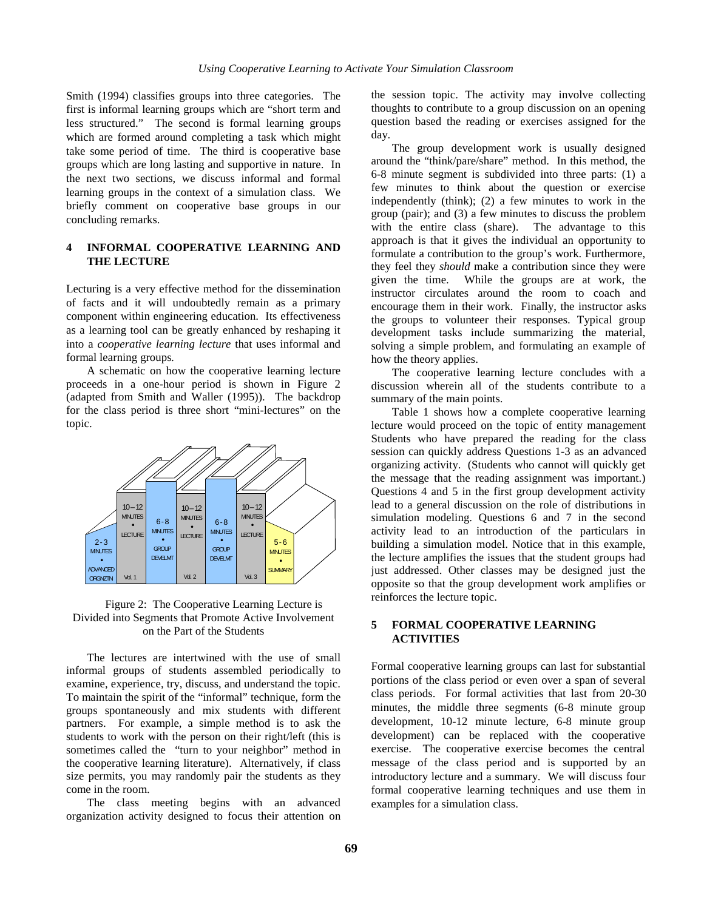Smith (1994) classifies groups into three categories. The first is informal learning groups which are "short term and less structured." The second is formal learning groups which are formed around completing a task which might take some period of time. The third is cooperative base groups which are long lasting and supportive in nature. In the next two sections, we discuss informal and formal learning groups in the context of a simulation class. We briefly comment on cooperative base groups in our concluding remarks.

### **4 INFORMAL COOPERATIVE LEARNING AND THE LECTURE**

Lecturing is a very effective method for the dissemination of facts and it will undoubtedly remain as a primary component within engineering education. Its effectiveness as a learning tool can be greatly enhanced by reshaping it into a *cooperative learning lecture* that uses informal and formal learning groups*.*

A schematic on how the cooperative learning lecture proceeds in a one-hour period is shown in Figure 2 (adapted from Smith and Waller (1995)). The backdrop for the class period is three short "mini-lectures" on the topic.





The lectures are intertwined with the use of small informal groups of students assembled periodically to examine, experience, try, discuss, and understand the topic. To maintain the spirit of the "informal" technique, form the groups spontaneously and mix students with different partners. For example, a simple method is to ask the students to work with the person on their right/left (this is sometimes called the "turn to your neighbor" method in the cooperative learning literature). Alternatively, if class size permits, you may randomly pair the students as they come in the room.

The class meeting begins with an advanced organization activity designed to focus their attention on the session topic. The activity may involve collecting thoughts to contribute to a group discussion on an opening question based the reading or exercises assigned for the day.

The group development work is usually designed around the "think/pare/share" method. In this method, the 6-8 minute segment is subdivided into three parts: (1) a few minutes to think about the question or exercise independently (think); (2) a few minutes to work in the group (pair); and (3) a few minutes to discuss the problem with the entire class (share). The advantage to this approach is that it gives the individual an opportunity to formulate a contribution to the group's work. Furthermore, they feel they *should* make a contribution since they were given the time. While the groups are at work, the instructor circulates around the room to coach and encourage them in their work. Finally, the instructor asks the groups to volunteer their responses. Typical group development tasks include summarizing the material, solving a simple problem, and formulating an example of how the theory applies.

The cooperative learning lecture concludes with a discussion wherein all of the students contribute to a summary of the main points.

Table 1 shows how a complete cooperative learning lecture would proceed on the topic of entity management Students who have prepared the reading for the class session can quickly address Questions 1-3 as an advanced organizing activity. (Students who cannot will quickly get the message that the reading assignment was important.) Questions 4 and 5 in the first group development activity lead to a general discussion on the role of distributions in simulation modeling. Questions 6 and 7 in the second activity lead to an introduction of the particulars in building a simulation model. Notice that in this example, the lecture amplifies the issues that the student groups had just addressed. Other classes may be designed just the opposite so that the group development work amplifies or reinforces the lecture topic.

### **5 FORMAL COOPERATIVE LEARNING ACTIVITIES**

Formal cooperative learning groups can last for substantial portions of the class period or even over a span of several class periods. For formal activities that last from 20-30 minutes, the middle three segments (6-8 minute group development, 10-12 minute lecture, 6-8 minute group development) can be replaced with the cooperative exercise. The cooperative exercise becomes the central message of the class period and is supported by an introductory lecture and a summary. We will discuss four formal cooperative learning techniques and use them in examples for a simulation class.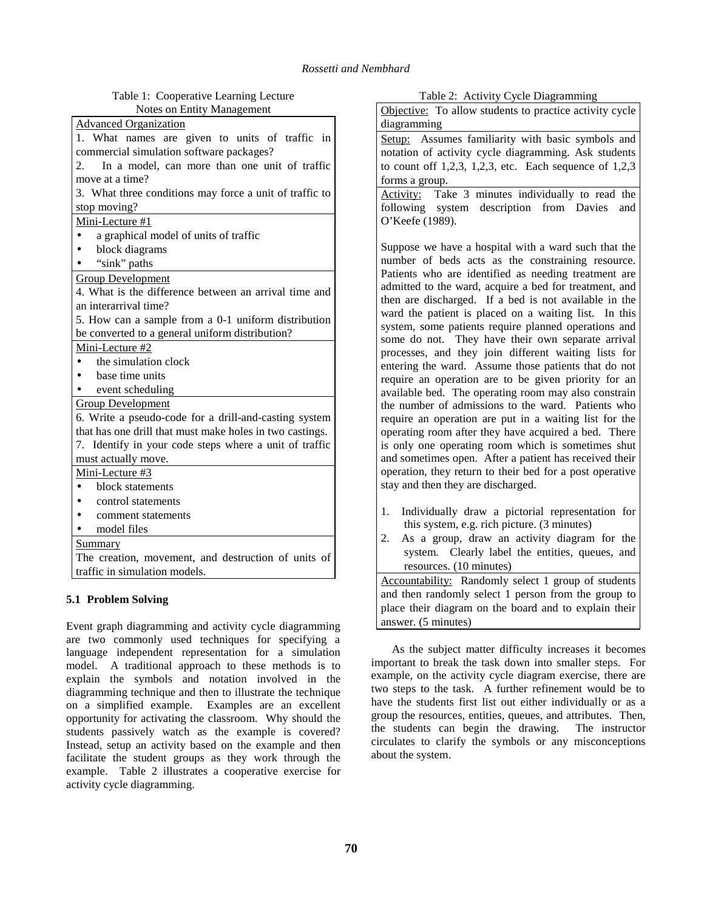| Table 1: Cooperative Learning Lecture |  |
|---------------------------------------|--|
| Notes on Entity Management            |  |

| ivotes on emity ivianagement                              |  |  |  |  |  |  |
|-----------------------------------------------------------|--|--|--|--|--|--|
| <b>Advanced Organization</b>                              |  |  |  |  |  |  |
| 1. What names are given to units of traffic in            |  |  |  |  |  |  |
| commercial simulation software packages?                  |  |  |  |  |  |  |
| In a model, can more than one unit of traffic<br>2.       |  |  |  |  |  |  |
| move at a time?                                           |  |  |  |  |  |  |
| 3. What three conditions may force a unit of traffic to   |  |  |  |  |  |  |
| stop moving?                                              |  |  |  |  |  |  |
| Mini-Lecture #1                                           |  |  |  |  |  |  |
| a graphical model of units of traffic                     |  |  |  |  |  |  |
| block diagrams                                            |  |  |  |  |  |  |
| "sink" paths                                              |  |  |  |  |  |  |
| <b>Group Development</b>                                  |  |  |  |  |  |  |
| 4. What is the difference between an arrival time and     |  |  |  |  |  |  |
| an interarrival time?                                     |  |  |  |  |  |  |
| 5. How can a sample from a 0-1 uniform distribution       |  |  |  |  |  |  |
| be converted to a general uniform distribution?           |  |  |  |  |  |  |
| Mini-Lecture #2                                           |  |  |  |  |  |  |
| the simulation clock                                      |  |  |  |  |  |  |
| base time units                                           |  |  |  |  |  |  |
| event scheduling                                          |  |  |  |  |  |  |
| <b>Group Development</b>                                  |  |  |  |  |  |  |
| 6. Write a pseudo-code for a drill-and-casting system     |  |  |  |  |  |  |
| that has one drill that must make holes in two castings.  |  |  |  |  |  |  |
| Identify in your code steps where a unit of traffic<br>7. |  |  |  |  |  |  |
| must actually move.                                       |  |  |  |  |  |  |
| Mini-Lecture #3                                           |  |  |  |  |  |  |
| block statements                                          |  |  |  |  |  |  |
| control statements                                        |  |  |  |  |  |  |
| comment statements                                        |  |  |  |  |  |  |
| model files                                               |  |  |  |  |  |  |
| Summary                                                   |  |  |  |  |  |  |
| The creation, movement, and destruction of units of       |  |  |  |  |  |  |
| traffic in simulation models.                             |  |  |  |  |  |  |
|                                                           |  |  |  |  |  |  |

# **5.1 Problem Solving**

Event graph diagramming and activity cycle diagramming are two commonly used techniques for specifying a language independent representation for a simulation model. A traditional approach to these methods is to explain the symbols and notation involved in the diagramming technique and then to illustrate the technique on a simplified example. Examples are an excellent opportunity for activating the classroom. Why should the students passively watch as the example is covered? Instead, setup an activity based on the example and then facilitate the student groups as they work through the example. Table 2 illustrates a cooperative exercise for activity cycle diagramming.

| Objective: To allow students to practice activity cycle     |  |  |  |  |  |  |
|-------------------------------------------------------------|--|--|--|--|--|--|
| diagramming                                                 |  |  |  |  |  |  |
| Setup: Assumes familiarity with basic symbols and           |  |  |  |  |  |  |
| notation of activity cycle diagramming. Ask students        |  |  |  |  |  |  |
| to count off $1,2,3, 1,2,3$ , etc. Each sequence of $1,2,3$ |  |  |  |  |  |  |
| forms a group.                                              |  |  |  |  |  |  |
| Activity: Take 3 minutes individually to read the           |  |  |  |  |  |  |
| following system description from Davies and                |  |  |  |  |  |  |
| O'Keefe (1989).                                             |  |  |  |  |  |  |

Suppose we have a hospital with a ward such that the number of beds acts as the constraining resource. Patients who are identified as needing treatment are admitted to the ward, acquire a bed for treatment, and then are discharged. If a bed is not available in the ward the patient is placed on a waiting list. In this system, some patients require planned operations and some do not. They have their own separate arrival processes, and they join different waiting lists for entering the ward. Assume those patients that do not require an operation are to be given priority for an available bed. The operating room may also constrain the number of admissions to the ward. Patients who require an operation are put in a waiting list for the operating room after they have acquired a bed. There is only one operating room which is sometimes shut and sometimes open. After a patient has received their operation, they return to their bed for a post operative stay and then they are discharged.

- 1. Individually draw a pictorial representation for this system, e.g. rich picture. (3 minutes)
- 2. As a group, draw an activity diagram for the system. Clearly label the entities, queues, and resources. (10 minutes)

Accountability: Randomly select 1 group of students and then randomly select 1 person from the group to place their diagram on the board and to explain their answer. (5 minutes)

As the subject matter difficulty increases it becomes important to break the task down into smaller steps. For example, on the activity cycle diagram exercise, there are two steps to the task. A further refinement would be to have the students first list out either individually or as a group the resources, entities, queues, and attributes. Then, the students can begin the drawing. The instructor circulates to clarify the symbols or any misconceptions about the system.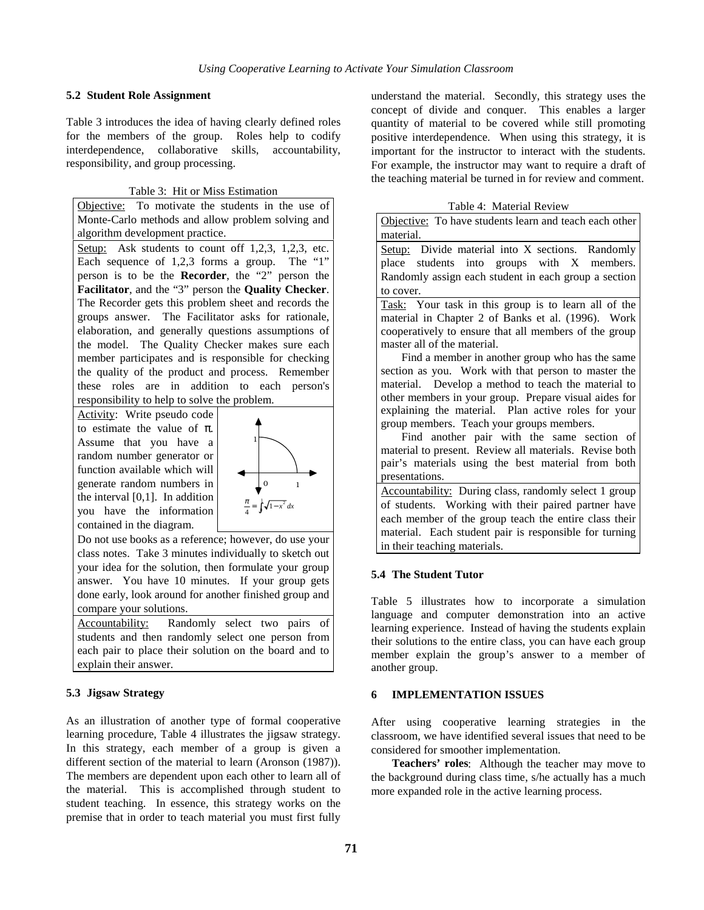# **5.2 Student Role Assignment**

Table 3 introduces the idea of having clearly defined roles for the members of the group. Roles help to codify interdependence, collaborative skills, accountability, responsibility, and group processing.

### Table 3: Hit or Miss Estimation

Objective: To motivate the students in the use of Monte-Carlo methods and allow problem solving and algorithm development practice. Setup: Ask students to count off 1,2,3, 1,2,3, etc. Each sequence of 1,2,3 forms a group. The "1" person is to be the **Recorder**, the "2" person the **Facilitator**, and the "3" person the **Quality Checker**. The Recorder gets this problem sheet and records the groups answer. The Facilitator asks for rationale, elaboration, and generally questions assumptions of the model. The Quality Checker makes sure each member participates and is responsible for checking the quality of the product and process. Remember these roles are in addition to each person's responsibility to help to solve the problem.

Activity: Write pseudo code to estimate the value of  $\pi$ . Assume that you have a random number generator or function available which will generate random numbers in the interval [0,1]. In addition you have the information contained in the diagram.



Do not use books as a reference; however, do use your class notes. Take 3 minutes individually to sketch out your idea for the solution, then formulate your group answer. You have 10 minutes. If your group gets done early, look around for another finished group and compare your solutions.

Accountability: Randomly select two pairs of students and then randomly select one person from each pair to place their solution on the board and to explain their answer.

# **5.3 Jigsaw Strategy**

As an illustration of another type of formal cooperative learning procedure, Table 4 illustrates the jigsaw strategy. In this strategy, each member of a group is given a different section of the material to learn (Aronson (1987)). The members are dependent upon each other to learn all of the material. This is accomplished through student to student teaching. In essence, this strategy works on the premise that in order to teach material you must first fully

understand the material. Secondly, this strategy uses the concept of divide and conquer. This enables a larger quantity of material to be covered while still promoting positive interdependence. When using this strategy, it is important for the instructor to interact with the students. For example, the instructor may want to require a draft of the teaching material be turned in for review and comment.

| Taone +. Triatellal Review                             |  |  |  |  |  |  |
|--------------------------------------------------------|--|--|--|--|--|--|
| Objective: To have students learn and teach each other |  |  |  |  |  |  |
| material.                                              |  |  |  |  |  |  |
| Setup: Divide material into X sections. Randomly       |  |  |  |  |  |  |
| place students into groups with X members.             |  |  |  |  |  |  |
| Randomly assign each student in each group a section   |  |  |  |  |  |  |
| to cover.                                              |  |  |  |  |  |  |
| Task: Your task in this group is to learn all of the   |  |  |  |  |  |  |
| material in Chapter 2 of Banks et al. (1996). Work     |  |  |  |  |  |  |
| cooperatively to ensure that all members of the group  |  |  |  |  |  |  |
| master all of the material.                            |  |  |  |  |  |  |
| Find a member in another group who has the same        |  |  |  |  |  |  |
| section as you. Work with that person to master the    |  |  |  |  |  |  |
| material. Develop a method to teach the material to    |  |  |  |  |  |  |

material. Develop a method to teach the material to other members in your group. Prepare visual aides for explaining the material. Plan active roles for your group members. Teach your groups members.

Find another pair with the same section of material to present. Review all materials. Revise both pair's materials using the best material from both presentations.

Accountability: During class, randomly select 1 group of students. Working with their paired partner have each member of the group teach the entire class their material. Each student pair is responsible for turning in their teaching materials.

# **5.4 The Student Tutor**

Table 5 illustrates how to incorporate a simulation language and computer demonstration into an active learning experience. Instead of having the students explain their solutions to the entire class, you can have each group member explain the group's answer to a member of another group.

# **6 IMPLEMENTATION ISSUES**

After using cooperative learning strategies in the classroom, we have identified several issues that need to be considered for smoother implementation.

**Teachers' roles**: Although the teacher may move to the background during class time, s/he actually has a much more expanded role in the active learning process.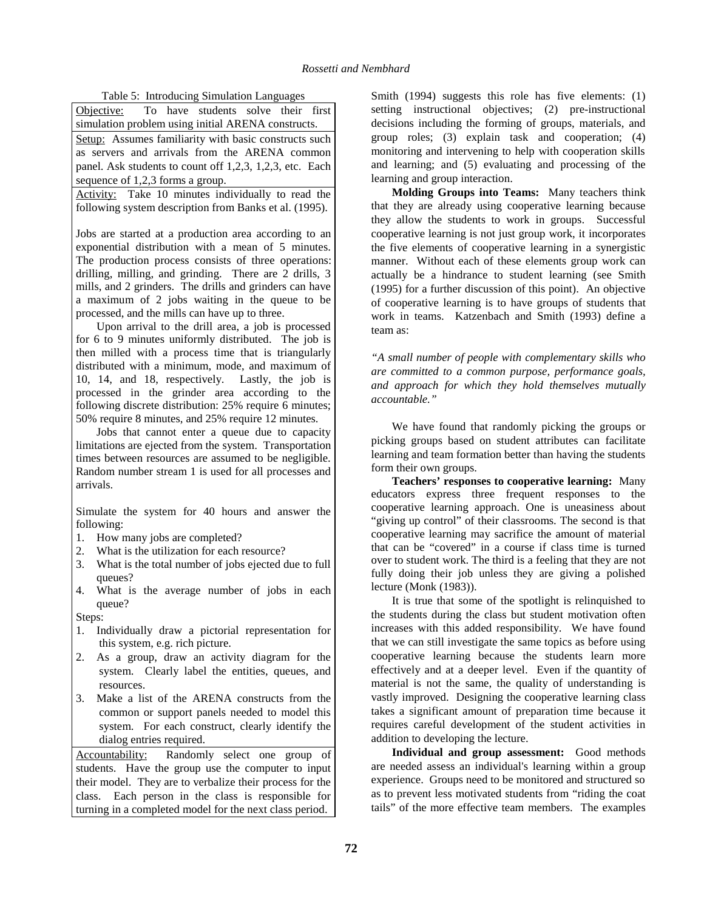Table 5: Introducing Simulation Languages

| Objective: To have students solve their first            |  |  |  |  |  |  |  |  |
|----------------------------------------------------------|--|--|--|--|--|--|--|--|
| simulation problem using initial ARENA constructs.       |  |  |  |  |  |  |  |  |
| Setup: Assumes familiarity with basic constructs such    |  |  |  |  |  |  |  |  |
| as servers and arrivals from the ARENA common            |  |  |  |  |  |  |  |  |
| panel. Ask students to count off 1,2,3, 1,2,3, etc. Each |  |  |  |  |  |  |  |  |
| sequence of $1,2,3$ forms a group.                       |  |  |  |  |  |  |  |  |

Activity: Take 10 minutes individually to read the following system description from Banks et al. (1995).

Jobs are started at a production area according to an exponential distribution with a mean of 5 minutes. The production process consists of three operations: drilling, milling, and grinding. There are 2 drills, 3 mills, and 2 grinders. The drills and grinders can have a maximum of 2 jobs waiting in the queue to be processed, and the mills can have up to three.

Upon arrival to the drill area, a job is processed for 6 to 9 minutes uniformly distributed. The job is then milled with a process time that is triangularly distributed with a minimum, mode, and maximum of 10, 14, and 18, respectively. Lastly, the job is processed in the grinder area according to the following discrete distribution: 25% require 6 minutes; 50% require 8 minutes, and 25% require 12 minutes.

Jobs that cannot enter a queue due to capacity limitations are ejected from the system. Transportation times between resources are assumed to be negligible. Random number stream 1 is used for all processes and arrivals.

Simulate the system for 40 hours and answer the following:

- 1. How many jobs are completed?
- 2. What is the utilization for each resource?
- 3. What is the total number of jobs ejected due to full queues?
- 4. What is the average number of jobs in each queue?

Steps:

- 1. Individually draw a pictorial representation for this system, e.g. rich picture.
- 2. As a group, draw an activity diagram for the system. Clearly label the entities, queues, and resources.
- 3. Make a list of the ARENA constructs from the common or support panels needed to model this system. For each construct, clearly identify the dialog entries required.

Accountability: Randomly select one group of students. Have the group use the computer to input their model. They are to verbalize their process for the class. Each person in the class is responsible for turning in a completed model for the next class period.

Smith (1994) suggests this role has five elements: (1) setting instructional objectives; (2) pre-instructional decisions including the forming of groups, materials, and group roles; (3) explain task and cooperation; (4) monitoring and intervening to help with cooperation skills and learning; and (5) evaluating and processing of the learning and group interaction.

**Molding Groups into Teams:** Many teachers think that they are already using cooperative learning because they allow the students to work in groups. Successful cooperative learning is not just group work, it incorporates the five elements of cooperative learning in a synergistic manner. Without each of these elements group work can actually be a hindrance to student learning (see Smith (1995) for a further discussion of this point). An objective of cooperative learning is to have groups of students that work in teams. Katzenbach and Smith (1993) define a team as:

*"A small number of people with complementary skills who are committed to a common purpose, performance goals, and approach for which they hold themselves mutually accountable."*

We have found that randomly picking the groups or picking groups based on student attributes can facilitate learning and team formation better than having the students form their own groups.

**Teachers' responses to cooperative learning:** Many educators express three frequent responses to the cooperative learning approach. One is uneasiness about "giving up control" of their classrooms. The second is that cooperative learning may sacrifice the amount of material that can be "covered" in a course if class time is turned over to student work. The third is a feeling that they are not fully doing their job unless they are giving a polished lecture (Monk (1983)).

It is true that some of the spotlight is relinquished to the students during the class but student motivation often increases with this added responsibility. We have found that we can still investigate the same topics as before using cooperative learning because the students learn more effectively and at a deeper level. Even if the quantity of material is not the same, the quality of understanding is vastly improved. Designing the cooperative learning class takes a significant amount of preparation time because it requires careful development of the student activities in addition to developing the lecture.

**Individual and group assessment:** Good methods are needed assess an individual's learning within a group experience. Groups need to be monitored and structured so as to prevent less motivated students from "riding the coat tails" of the more effective team members. The examples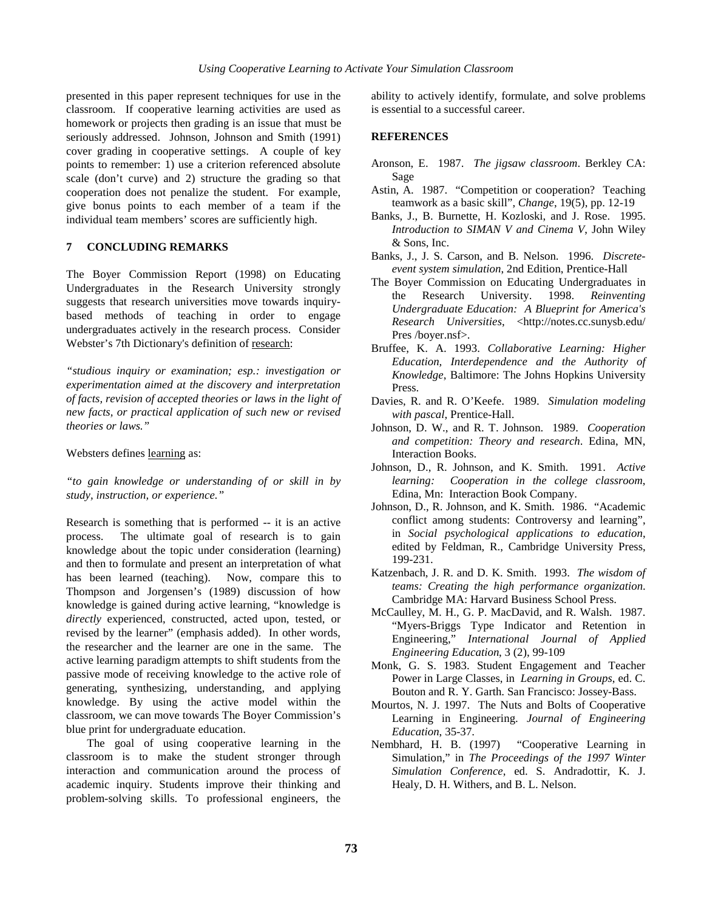presented in this paper represent techniques for use in the classroom. If cooperative learning activities are used as homework or projects then grading is an issue that must be seriously addressed. Johnson, Johnson and Smith (1991) cover grading in cooperative settings. A couple of key points to remember: 1) use a criterion referenced absolute scale (don't curve) and 2) structure the grading so that cooperation does not penalize the student. For example, give bonus points to each member of a team if the individual team members' scores are sufficiently high.

### **7 CONCLUDING REMARKS**

The Boyer Commission Report (1998) on Educating Undergraduates in the Research University strongly suggests that research universities move towards inquirybased methods of teaching in order to engage undergraduates actively in the research process. Consider Webster's 7th Dictionary's definition of research:

*"studious inquiry or examination; esp.: investigation or experimentation aimed at the discovery and interpretation of facts, revision of accepted theories or laws in the light of new facts, or practical application of such new or revised theories or laws."*

Websters defines learning as:

*"to gain knowledge or understanding of or skill in by study, instruction, or experience."*

Research is something that is performed -- it is an active process. The ultimate goal of research is to gain knowledge about the topic under consideration (learning) and then to formulate and present an interpretation of what has been learned (teaching). Now, compare this to Thompson and Jorgensen's (1989) discussion of how knowledge is gained during active learning, "knowledge is *directly* experienced, constructed, acted upon, tested, or revised by the learner" (emphasis added). In other words, the researcher and the learner are one in the same. The active learning paradigm attempts to shift students from the passive mode of receiving knowledge to the active role of generating, synthesizing, understanding, and applying knowledge. By using the active model within the classroom, we can move towards The Boyer Commission's blue print for undergraduate education.

The goal of using cooperative learning in the classroom is to make the student stronger through interaction and communication around the process of academic inquiry. Students improve their thinking and problem-solving skills. To professional engineers, the ability to actively identify, formulate, and solve problems is essential to a successful career.

#### **REFERENCES**

- Aronson, E. 1987. *The jigsaw classroom*. Berkley CA: Sage
- Astin, A. 1987. "Competition or cooperation? Teaching teamwork as a basic skill", *Change*, 19(5), pp. 12-19
- Banks, J., B. Burnette, H. Kozloski, and J. Rose. 1995. *Introduction to SIMAN V and Cinema V*, John Wiley & Sons, Inc.
- Banks, J., J. S. Carson, and B. Nelson. 1996. *Discreteevent system simulation*, 2nd Edition, Prentice-Hall
- The Boyer Commission on Educating Undergraduates in the Research University. 1998. *Reinventing Undergraduate Education: A Blueprint for America's Research Universities*, <http://notes.cc.sunysb.edu/ Pres /boyer.nsf>.
- Bruffee, K. A. 1993. *Collaborative Learning: Higher Education, Interdependence and the Authority of Knowledge*, Baltimore: The Johns Hopkins University Press.
- Davies, R. and R. O'Keefe. 1989. *Simulation modeling with pascal*, Prentice-Hall.
- Johnson, D. W., and R. T. Johnson. 1989. *Cooperation and competition: Theory and research*. Edina, MN, Interaction Books.
- Johnson, D., R. Johnson, and K. Smith. 1991. *Active learning: Cooperation in the college classroom*, Edina, Mn: Interaction Book Company.
- Johnson, D., R. Johnson, and K. Smith. 1986. "Academic conflict among students: Controversy and learning", in *Social psychological applications to education*, edited by Feldman, R., Cambridge University Press, 199-231.
- Katzenbach, J. R. and D. K. Smith. 1993. *The wisdom of teams: Creating the high performance organization*. Cambridge MA: Harvard Business School Press.
- McCaulley, M. H., G. P. MacDavid, and R. Walsh. 1987. "Myers-Briggs Type Indicator and Retention in Engineering," *International Journal of Applied Engineering Education*, 3 (2), 99-109
- Monk, G. S. 1983. Student Engagement and Teacher Power in Large Classes, in *Learning in Groups*, ed. C. Bouton and R. Y. Garth. San Francisco: Jossey-Bass.
- Mourtos, N. J. 1997. The Nuts and Bolts of Cooperative Learning in Engineering. *Journal of Engineering Education*, 35-37.
- Nembhard, H. B. (1997) "Cooperative Learning in Simulation," in *The Proceedings of the 1997 Winter Simulation Conference*, ed. S. Andradottir, K. J. Healy, D. H. Withers, and B. L. Nelson.